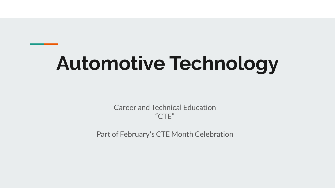# **Automotive Technology**

Career and Technical Education "CTE"

Part of February's CTE Month Celebration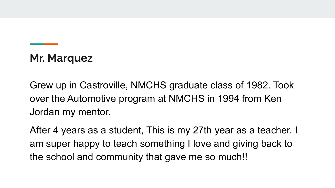## **Mr. Marquez**

Grew up in Castroville, NMCHS graduate class of 1982. Took over the Automotive program at NMCHS in 1994 from Ken Jordan my mentor.

After 4 years as a student, This is my 27th year as a teacher. I am super happy to teach something I love and giving back to the school and community that gave me so much!!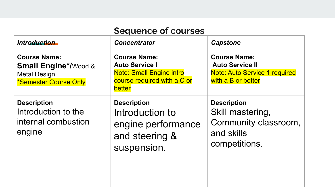| <b>Sequence of courses</b>                                                                             |                                                                                                                                 |                                                                                                             |
|--------------------------------------------------------------------------------------------------------|---------------------------------------------------------------------------------------------------------------------------------|-------------------------------------------------------------------------------------------------------------|
| Introduction                                                                                           | <b>Concentrator</b>                                                                                                             | <b>Capstone</b>                                                                                             |
| <b>Course Name:</b><br><b>Small Engine*/Wood &amp;</b><br><b>Metal Design</b><br>*Semester Course Only | <b>Course Name:</b><br><b>Auto Service I</b><br><b>Note: Small Engine intro</b><br>course required with a C or<br><b>better</b> | <b>Course Name:</b><br><b>Auto Service II</b><br><b>Note: Auto Service 1 required</b><br>with a B or better |
| <b>Description</b><br>Introduction to the<br>internal combustion<br>engine                             | <b>Description</b><br>Introduction to<br>engine performance<br>and steering &<br>suspension.                                    | <b>Description</b><br>Skill mastering,<br>Community classroom,<br>and skills<br>competitions.               |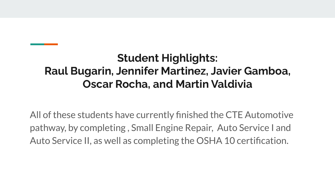## **Student Highlights: Raul Bugarin, Jennifer Martinez, Javier Gamboa, Oscar Rocha, and Martin Valdivia**

All of these students have currently finished the CTE Automotive pathway, by completing , Small Engine Repair, Auto Service I and Auto Service II, as well as completing the OSHA 10 certification.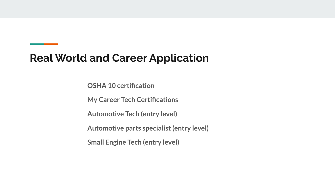#### **Real World and Career Application**

**OSHA 10 certification**

**My Career Tech Certifications**

**Automotive Tech (entry level)**

**Automotive parts specialist (entry level)**

**Small Engine Tech (entry level)**